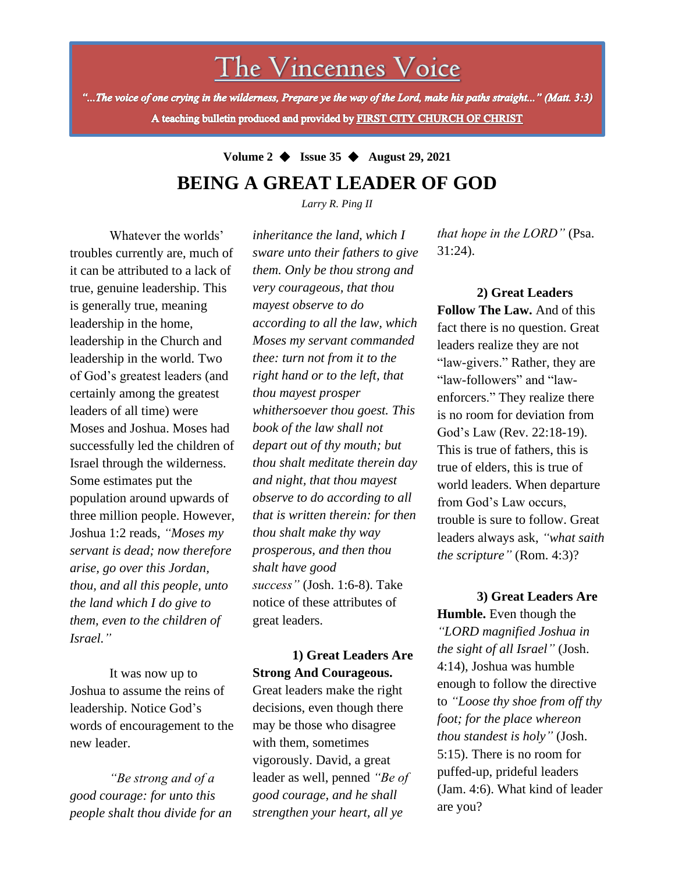The Vincennes Voice

"...The voice of one crying in the wilderness, Prepare ye the way of the Lord, make his paths straight..." (Matt. 3:3) A teaching bulletin produced and provided by FIRST CITY CHURCH OF CHRIST

> **Volume 2** ◆ **Issue 35** ◆ **August 29, 2021 BEING A GREAT LEADER OF GOD**

> > *Larry R. Ping II*

Whatever the worlds' troubles currently are, much of it can be attributed to a lack of true, genuine leadership. This is generally true, meaning leadership in the home, leadership in the Church and leadership in the world. Two of God's greatest leaders (and certainly among the greatest leaders of all time) were Moses and Joshua. Moses had successfully led the children of Israel through the wilderness. Some estimates put the population around upwards of three million people. However, Joshua 1:2 reads, *"Moses my servant is dead; now therefore arise, go over this Jordan, thou, and all this people, unto the land which I do give to them, even to the children of Israel."*

It was now up to Joshua to assume the reins of leadership. Notice God's words of encouragement to the new leader.

*"Be strong and of a good courage: for unto this people shalt thou divide for an*  *inheritance the land, which I sware unto their fathers to give them. Only be thou strong and very courageous, that thou mayest observe to do according to all the law, which Moses my servant commanded thee: turn not from it to the right hand or to the left, that thou mayest prosper whithersoever thou goest. This book of the law shall not depart out of thy mouth; but thou shalt meditate therein day and night, that thou mayest observe to do according to all that is written therein: for then thou shalt make thy way prosperous, and then thou shalt have good success"* (Josh. 1:6-8). Take notice of these attributes of great leaders.

## **1) Great Leaders Are Strong And Courageous.**

Great leaders make the right decisions, even though there may be those who disagree with them, sometimes vigorously. David, a great leader as well, penned *"Be of good courage, and he shall strengthen your heart, all ye* 

*that hope in the LORD"* (Psa. 31:24).

**2) Great Leaders Follow The Law.** And of this fact there is no question. Great leaders realize they are not "law-givers." Rather, they are "law-followers" and "lawenforcers." They realize there is no room for deviation from God's Law (Rev. 22:18-19). This is true of fathers, this is true of elders, this is true of world leaders. When departure from God's Law occurs, trouble is sure to follow. Great leaders always ask, *"what saith the scripture"* (Rom. 4:3)?

**3) Great Leaders Are Humble.** Even though the *"LORD magnified Joshua in the sight of all Israel"* (Josh. 4:14), Joshua was humble enough to follow the directive to *"Loose thy shoe from off thy foot; for the place whereon thou standest is holy"* (Josh. 5:15). There is no room for puffed-up, prideful leaders (Jam. 4:6). What kind of leader are you?